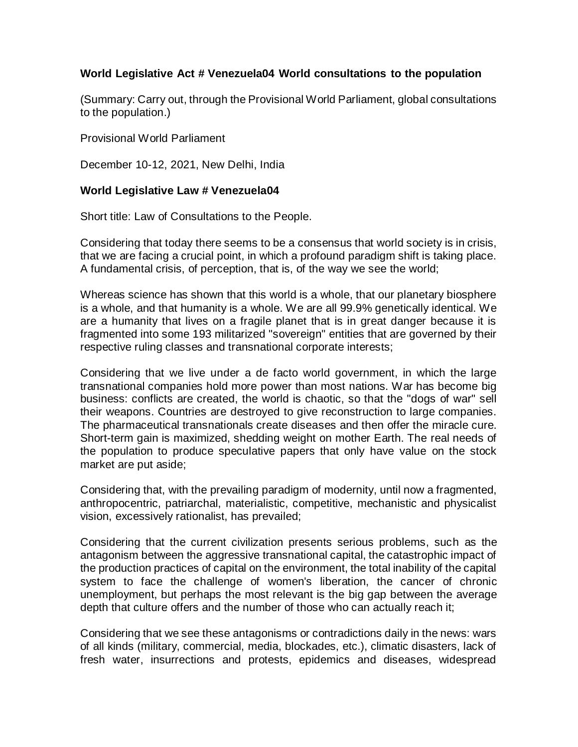## **World Legislative Act # Venezuela04 World consultations to the population**

(Summary: Carry out, through the Provisional World Parliament, global consultations to the population.)

Provisional World Parliament

December 10-12, 2021, New Delhi, India

## **World Legislative Law # Venezuela04**

Short title: Law of Consultations to the People.

Considering that today there seems to be a consensus that world society is in crisis, that we are facing a crucial point, in which a profound paradigm shift is taking place. A fundamental crisis, of perception, that is, of the way we see the world;

Whereas science has shown that this world is a whole, that our planetary biosphere is a whole, and that humanity is a whole. We are all 99.9% genetically identical. We are a humanity that lives on a fragile planet that is in great danger because it is fragmented into some 193 militarized "sovereign" entities that are governed by their respective ruling classes and transnational corporate interests;

Considering that we live under a de facto world government, in which the large transnational companies hold more power than most nations. War has become big business: conflicts are created, the world is chaotic, so that the "dogs of war" sell their weapons. Countries are destroyed to give reconstruction to large companies. The pharmaceutical transnationals create diseases and then offer the miracle cure. Short-term gain is maximized, shedding weight on mother Earth. The real needs of the population to produce speculative papers that only have value on the stock market are put aside;

Considering that, with the prevailing paradigm of modernity, until now a fragmented, anthropocentric, patriarchal, materialistic, competitive, mechanistic and physicalist vision, excessively rationalist, has prevailed;

Considering that the current civilization presents serious problems, such as the antagonism between the aggressive transnational capital, the catastrophic impact of the production practices of capital on the environment, the total inability of the capital system to face the challenge of women's liberation, the cancer of chronic unemployment, but perhaps the most relevant is the big gap between the average depth that culture offers and the number of those who can actually reach it;

Considering that we see these antagonisms or contradictions daily in the news: wars of all kinds (military, commercial, media, blockades, etc.), climatic disasters, lack of fresh water, insurrections and protests, epidemics and diseases, widespread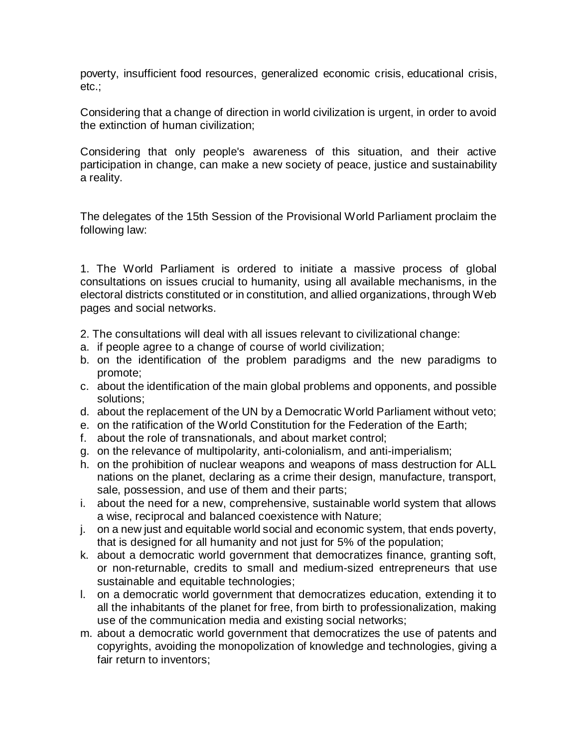poverty, insufficient food resources, generalized economic crisis, educational crisis, etc.;

Considering that a change of direction in world civilization is urgent, in order to avoid the extinction of human civilization;

Considering that only people's awareness of this situation, and their active participation in change, can make a new society of peace, justice and sustainability a reality.

The delegates of the 15th Session of the Provisional World Parliament proclaim the following law:

1. The World Parliament is ordered to initiate a massive process of global consultations on issues crucial to humanity, using all available mechanisms, in the electoral districts constituted or in constitution, and allied organizations, through Web pages and social networks.

- 2. The consultations will deal with all issues relevant to civilizational change:
- a. if people agree to a change of course of world civilization;
- b. on the identification of the problem paradigms and the new paradigms to promote;
- c. about the identification of the main global problems and opponents, and possible solutions;
- d. about the replacement of the UN by a Democratic World Parliament without veto;
- e. on the ratification of the World Constitution for the Federation of the Earth;
- f. about the role of transnationals, and about market control;
- g. on the relevance of multipolarity, anti-colonialism, and anti-imperialism;
- h. on the prohibition of nuclear weapons and weapons of mass destruction for ALL nations on the planet, declaring as a crime their design, manufacture, transport, sale, possession, and use of them and their parts;
- i. about the need for a new, comprehensive, sustainable world system that allows a wise, reciprocal and balanced coexistence with Nature;
- j. on a new just and equitable world social and economic system, that ends poverty, that is designed for all humanity and not just for 5% of the population;
- k. about a democratic world government that democratizes finance, granting soft, or non-returnable, credits to small and medium-sized entrepreneurs that use sustainable and equitable technologies;
- l. on a democratic world government that democratizes education, extending it to all the inhabitants of the planet for free, from birth to professionalization, making use of the communication media and existing social networks;
- m. about a democratic world government that democratizes the use of patents and copyrights, avoiding the monopolization of knowledge and technologies, giving a fair return to inventors;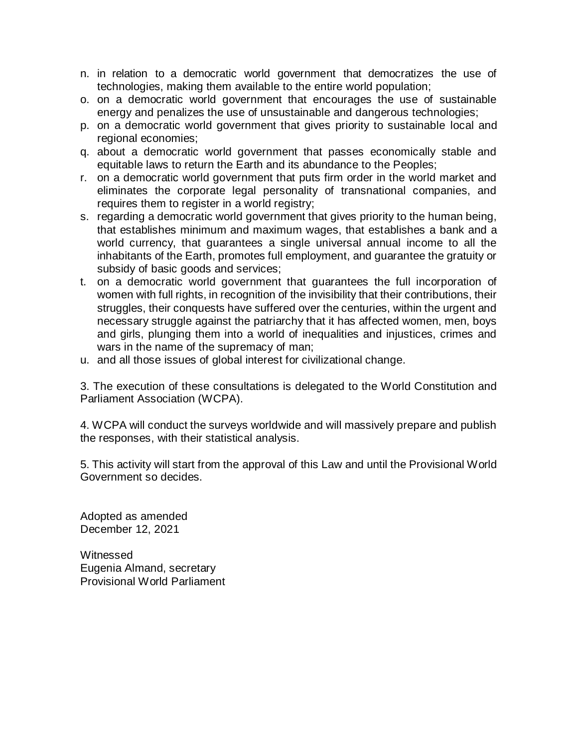- n. in relation to a democratic world government that democratizes the use of technologies, making them available to the entire world population;
- o. on a democratic world government that encourages the use of sustainable energy and penalizes the use of unsustainable and dangerous technologies;
- p. on a democratic world government that gives priority to sustainable local and regional economies;
- q. about a democratic world government that passes economically stable and equitable laws to return the Earth and its abundance to the Peoples;
- r. on a democratic world government that puts firm order in the world market and eliminates the corporate legal personality of transnational companies, and requires them to register in a world registry;
- s. regarding a democratic world government that gives priority to the human being, that establishes minimum and maximum wages, that establishes a bank and a world currency, that guarantees a single universal annual income to all the inhabitants of the Earth, promotes full employment, and guarantee the gratuity or subsidy of basic goods and services;
- t. on a democratic world government that guarantees the full incorporation of women with full rights, in recognition of the invisibility that their contributions, their struggles, their conquests have suffered over the centuries, within the urgent and necessary struggle against the patriarchy that it has affected women, men, boys and girls, plunging them into a world of inequalities and injustices, crimes and wars in the name of the supremacy of man;
- u. and all those issues of global interest for civilizational change.

3. The execution of these consultations is delegated to the World Constitution and Parliament Association (WCPA).

4. WCPA will conduct the surveys worldwide and will massively prepare and publish the responses, with their statistical analysis.

5. This activity will start from the approval of this Law and until the Provisional World Government so decides.

Adopted as amended December 12, 2021

Witnessed Eugenia Almand, secretary Provisional World Parliament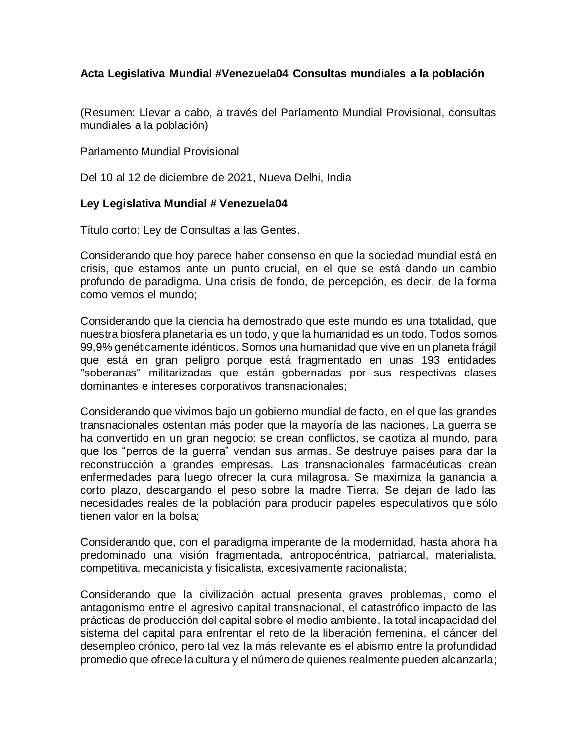## **Acta Legislativa Mundial #Venezuela04 Consultas mundiales a la población**

(Resumen: Llevar a cabo, a través del Parlamento Mundial Provisional, consultas mundiales a la población)

Parlamento Mundial Provisional

Del 10 al 12 de diciembre de 2021, Nueva Delhi, India

## **Ley Legislativa Mundial # Venezuela04**

Título corto: Ley de Consultas a las Gentes.

Considerando que hoy parece haber consenso en que la sociedad mundial está en crisis, que estamos ante un punto crucial, en el que se está dando un cambio profundo de paradigma. Una crisis de fondo, de percepción, es decir, de la forma como vemos el mundo;

Considerando que la ciencia ha demostrado que este mundo es una totalidad, que nuestra biosfera planetaria es un todo, y que la humanidad es un todo. Todos somos 99,9% genéticamente idénticos. Somos una humanidad que vive en un planeta frágil que está en gran peligro porque está fragmentado en unas 193 entidades "soberanas" militarizadas que están gobernadas por sus respectivas clases dominantes e intereses corporativos transnacionales;

Considerando que vivimos bajo un gobierno mundial de facto, en el que las grandes transnacionales ostentan más poder que la mayoría de las naciones. La guerra se ha convertido en un gran negocio: se crean conflictos, se caotiza al mundo, para que los "perros de la guerra" vendan sus armas. Se destruye países para dar la reconstrucción a grandes empresas. Las transnacionales farmacéuticas crean enfermedades para luego ofrecer la cura milagrosa. Se maximiza la ganancia a corto plazo, descargando el peso sobre la madre Tierra. Se dejan de lado las necesidades reales de la población para producir papeles especulativos que sólo tienen valor en la bolsa;

Considerando que, con el paradigma imperante de la modernidad, hasta ahora ha predominado una visión fragmentada, antropocéntrica, patriarcal, materialista, competitiva, mecanicista y fisicalista, excesivamente racionalista;

Considerando que la civilización actual presenta graves problemas, como el antagonismo entre el agresivo capital transnacional, el catastrófico impacto de las prácticas de producción del capital sobre el medio ambiente, la total incapacidad del sistema del capital para enfrentar el reto de la liberación femenina, el cáncer del desempleo crónico, pero tal vez la más relevante es el abismo entre la profundidad promedio que ofrece la cultura y el número de quienes realmente pueden alcanzarla;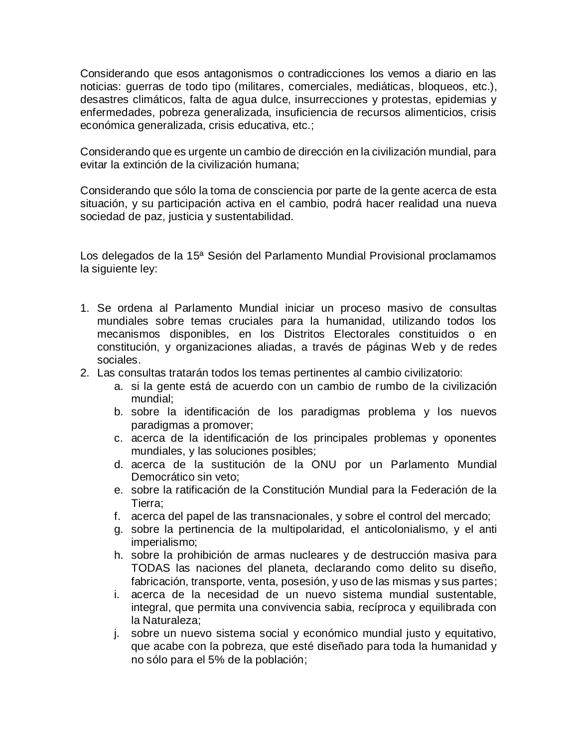Considerando que esos antagonismos o contradicciones los vemos a diario en las noticias: guerras de todo tipo (militares, comerciales, mediáticas, bloqueos, etc.), desastres climáticos, falta de agua dulce, insurrecciones y protestas, epidemias y enfermedades, pobreza generalizada, insuficiencia de recursos alimenticios, crisis económica generalizada, crisis educativa, etc.;

Considerando que es urgente un cambio de dirección en la civilización mundial, para evitar la extinción de la civilización humana;

Considerando que sólo la toma de consciencia por parte de la gente acerca de esta situación, y su participación activa en el cambio, podrá hacer realidad una nueva sociedad de paz, justicia y sustentabilidad.

Los delegados de la 15ª Sesión del Parlamento Mundial Provisional proclamamos la siguiente ley:

- 1. Se ordena al Parlamento Mundial iniciar un proceso masivo de consultas mundiales sobre temas cruciales para la humanidad, utilizando todos los mecanismos disponibles, en los Distritos Electorales constituidos o en constitución, y organizaciones aliadas, a través de páginas Web y de redes sociales.
- 2. Las consultas tratarán todos los temas pertinentes al cambio civilizatorio:
	- a. si la gente está de acuerdo con un cambio de rumbo de la civilización mundial;
	- b. sobre la identificación de los paradigmas problema y los nuevos paradigmas a promover;
	- c. acerca de la identificación de los principales problemas y oponentes mundiales, y las soluciones posibles;
	- d. acerca de la sustitución de la ONU por un Parlamento Mundial Democrático sin veto;
	- e. sobre la ratificación de la Constitución Mundial para la Federación de la Tierra;
	- f. acerca del papel de las transnacionales, y sobre el control del mercado;
	- g. sobre la pertinencia de la multipolaridad, el anticolonialismo, y el anti imperialismo;
	- h. sobre la prohibición de armas nucleares y de destrucción masiva para TODAS las naciones del planeta, declarando como delito su diseño, fabricación, transporte, venta, posesión, y uso de las mismas y sus partes;
	- i. acerca de la necesidad de un nuevo sistema mundial sustentable, integral, que permita una convivencia sabia, recíproca y equilibrada con la Naturaleza;
	- j. sobre un nuevo sistema social y económico mundial justo y equitativo, que acabe con la pobreza, que esté diseñado para toda la humanidad y no sólo para el 5% de la población;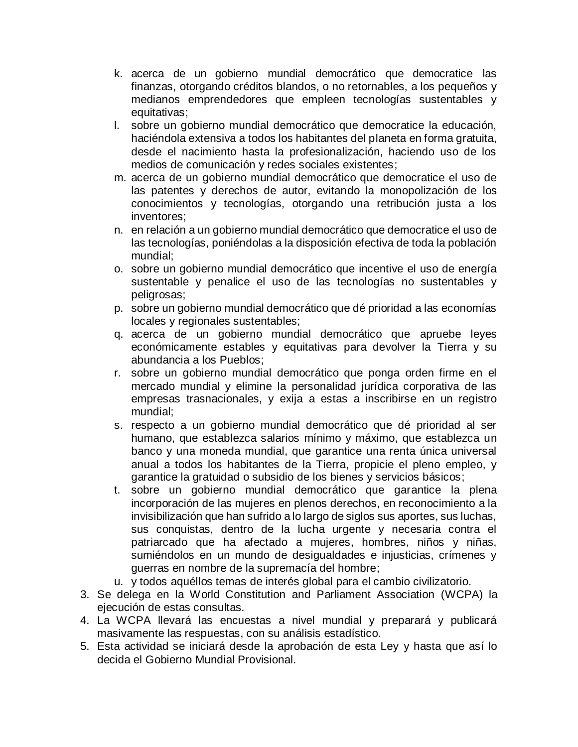- k. acerca de un gobierno mundial democrático que democratice las finanzas, otorgando créditos blandos, o no retornables, a los pequeños y medianos emprendedores que empleen tecnologías sustentables y equitativas;
- l. sobre un gobierno mundial democrático que democratice la educación, haciéndola extensiva a todos los habitantes del planeta en forma gratuita, desde el nacimiento hasta la profesionalización, haciendo uso de los medios de comunicación y redes sociales existentes;
- m. acerca de un gobierno mundial democrático que democratice el uso de las patentes y derechos de autor, evitando la monopolización de los conocimientos y tecnologías, otorgando una retribución justa a los inventores;
- n. en relación a un gobierno mundial democrático que democratice el uso de las tecnologías, poniéndolas a la disposición efectiva de toda la población mundial;
- o. sobre un gobierno mundial democrático que incentive el uso de energía sustentable y penalice el uso de las tecnologías no sustentables y peligrosas;
- p. sobre un gobierno mundial democrático que dé prioridad a las economías locales y regionales sustentables;
- q. acerca de un gobierno mundial democrático que apruebe leyes económicamente estables y equitativas para devolver la Tierra y su abundancia a los Pueblos;
- r. sobre un gobierno mundial democrático que ponga orden firme en el mercado mundial y elimine la personalidad jurídica corporativa de las empresas trasnacionales, y exija a estas a inscribirse en un registro mundial;
- s. respecto a un gobierno mundial democrático que dé prioridad al ser humano, que establezca salarios mínimo y máximo, que establezca un banco y una moneda mundial, que garantice una renta única universal anual a todos los habitantes de la Tierra, propicie el pleno empleo, y garantice la gratuidad o subsidio de los bienes y servicios básicos;
- t. sobre un gobierno mundial democrático que garantice la plena incorporación de las mujeres en plenos derechos, en reconocimiento a la invisibilización que han sufrido a lo largo de siglos sus aportes, sus luchas, sus conquistas, dentro de la lucha urgente y necesaria contra el patriarcado que ha afectado a mujeres, hombres, niños y niñas, sumiéndolos en un mundo de desigualdades e injusticias, crímenes y guerras en nombre de la supremacía del hombre;
- u. y todos aquéllos temas de interés global para el cambio civilizatorio.
- 3. Se delega en la World Constitution and Parliament Association (WCPA) la ejecución de estas consultas.
- 4. La WCPA llevará las encuestas a nivel mundial y preparará y publicará masivamente las respuestas, con su análisis estadístico.
- 5. Esta actividad se iniciará desde la aprobación de esta Ley y hasta que así lo decida el Gobierno Mundial Provisional.